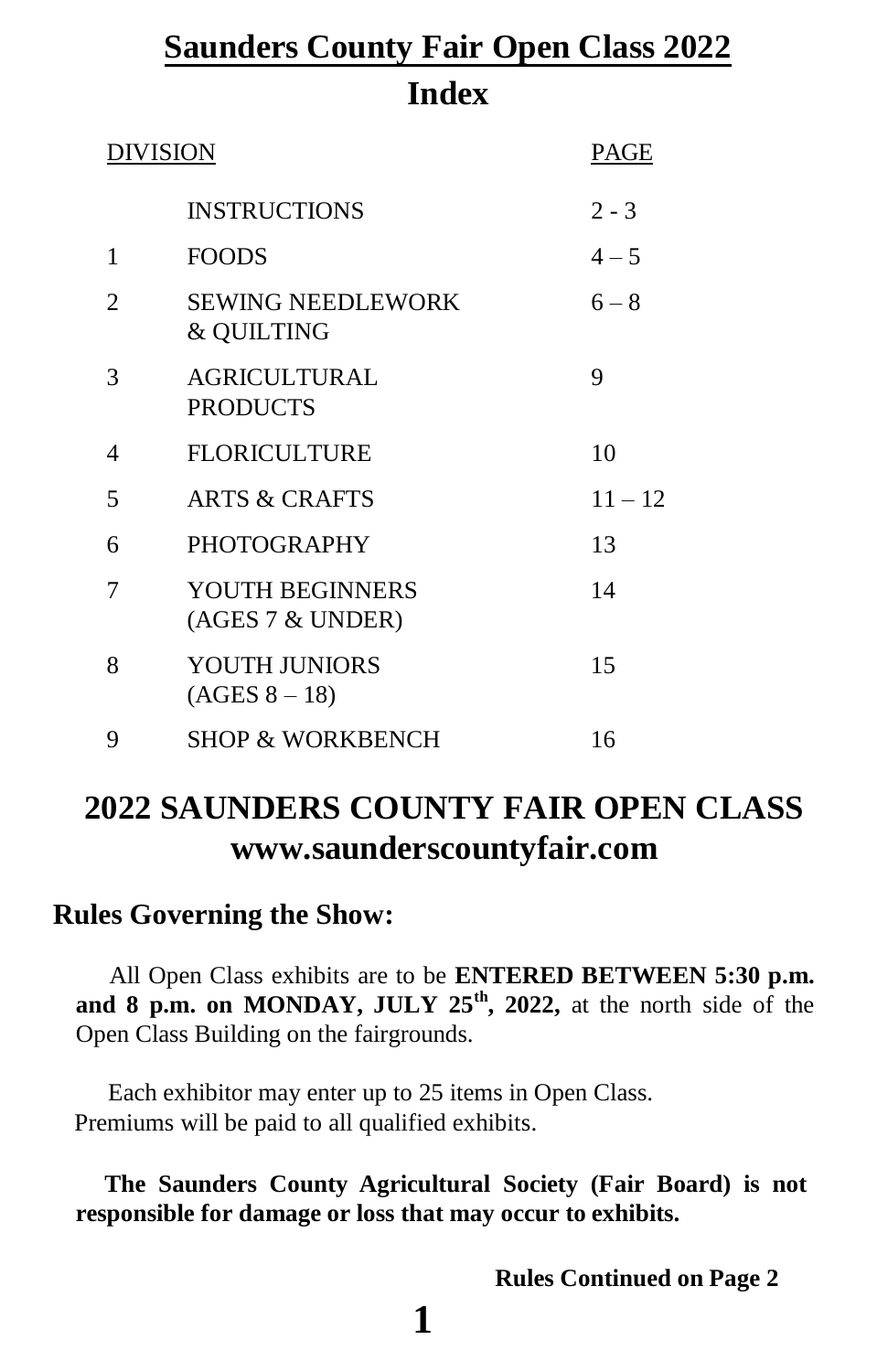# **Saunders County Fair Open Class 2022 Index**

| <b>DIVISION</b> |                                                   | PAGE      |
|-----------------|---------------------------------------------------|-----------|
|                 | <b>INSTRUCTIONS</b>                               | $2 - 3$   |
| 1               | <b>FOODS</b>                                      | $4 - 5$   |
| 2               | <b>SEWING NEEDLEWORK</b><br><b>&amp; QUILTING</b> | $6 - 8$   |
| 3               | <b>AGRICULTURAL</b><br><b>PRODUCTS</b>            | 9         |
| 4               | <b>FLORICULTURE</b>                               | 10        |
| 5               | <b>ARTS &amp; CRAFTS</b>                          | $11 - 12$ |
| 6               | <b>PHOTOGRAPHY</b>                                | 13        |
| 7               | YOUTH BEGINNERS<br>(AGES 7 & UNDER)               | 14        |
| 8               | <b>YOUTH JUNIORS</b><br>$(AGES 8 - 18)$           | 15        |
| 9               | <b>SHOP &amp; WORKBENCH</b>                       | 16        |

# **2022 SAUNDERS COUNTY FAIR OPEN CLASS [www.saunderscountyfair.com](http://www.saunderscountyfair.com/)**

## **Rules Governing the Show:**

All Open Class exhibits are to be **ENTERED BETWEEN 5:30 p.m. and 8 p.m. on MONDAY, JULY 25th, 2022,** at the north side of the Open Class Building on the fairgrounds.

Each exhibitor may enter up to 25 items in Open Class. Premiums will be paid to all qualified exhibits.

**The Saunders County Agricultural Society (Fair Board) is not responsible for damage or loss that may occur to exhibits.**

**Rules Continued on Page 2**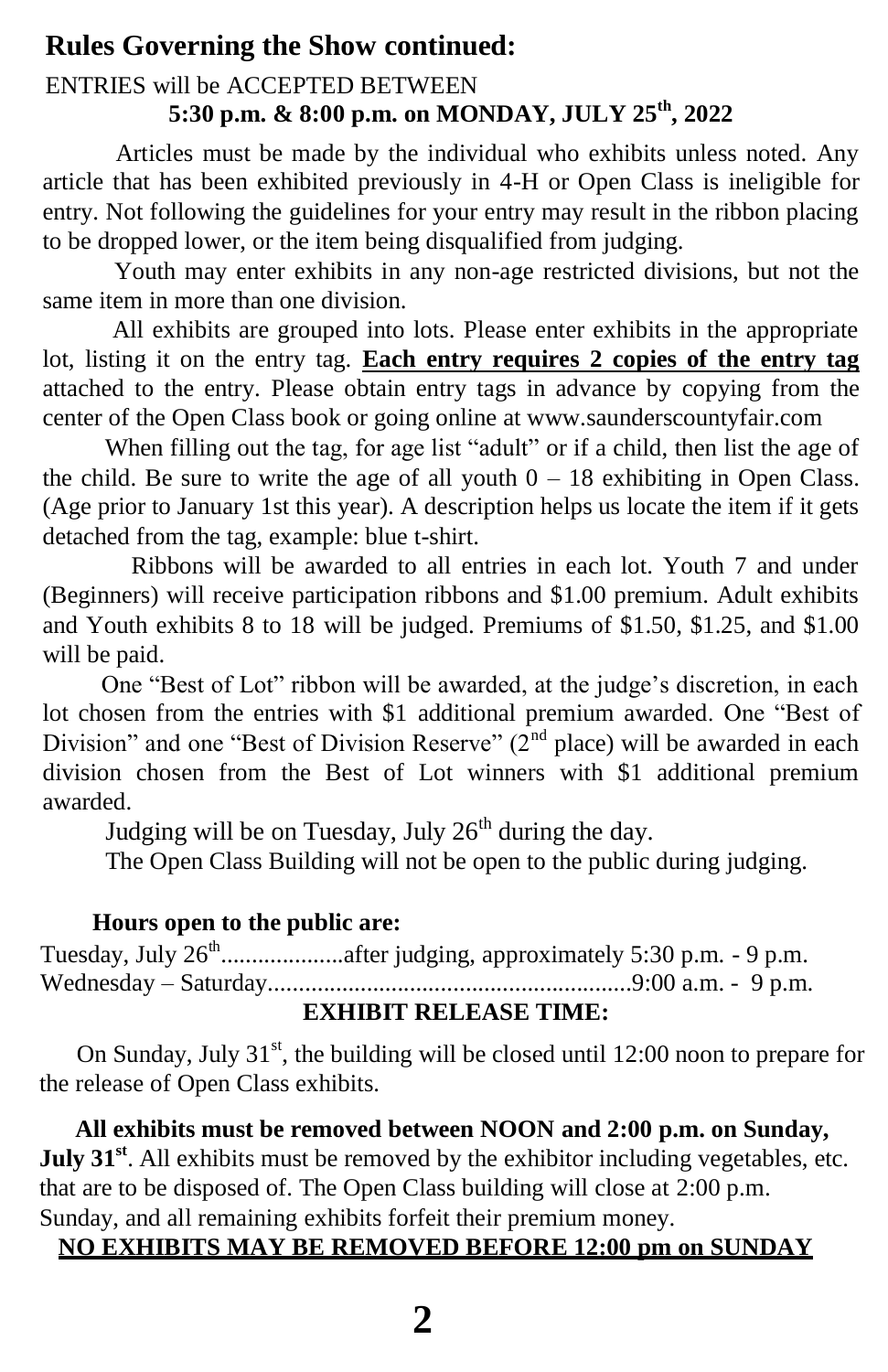## **Rules Governing the Show continued:**

## ENTRIES will be ACCEPTED BETWEEN **5:30 p.m. & 8:00 p.m. on MONDAY, JULY 25th, 2022**

Articles must be made by the individual who exhibits unless noted. Any article that has been exhibited previously in 4-H or Open Class is ineligible for entry. Not following the guidelines for your entry may result in the ribbon placing to be dropped lower, or the item being disqualified from judging.

Youth may enter exhibits in any non-age restricted divisions, but not the same item in more than one division.

All exhibits are grouped into lots. Please enter exhibits in the appropriate lot, listing it on the entry tag. **Each entry requires 2 copies of the entry tag** attached to the entry. Please obtain entry tags in advance by copying from the center of the Open Class book or going online at [www.saunderscountyfair.com](http://www.saunderscountyfair.com/)

When filling out the tag, for age list "adult" or if a child, then list the age of the child. Be sure to write the age of all youth  $0 - 18$  exhibiting in Open Class. (Age prior to January 1st this year). A description helps us locate the item if it gets detached from the tag, example: blue t-shirt.

Ribbons will be awarded to all entries in each lot. Youth 7 and under (Beginners) will receive participation ribbons and \$1.00 premium. Adult exhibits and Youth exhibits 8 to 18 will be judged. Premiums of \$1.50, \$1.25, and \$1.00 will be paid.

One "Best of Lot" ribbon will be awarded, at the judge's discretion, in each lot chosen from the entries with \$1 additional premium awarded. One "Best of Division" and one "Best of Division Reserve"  $(2<sup>nd</sup>$  place) will be awarded in each division chosen from the Best of Lot winners with \$1 additional premium awarded.

Judging will be on Tuesday, July  $26<sup>th</sup>$  during the day.

The Open Class Building will not be open to the public during judging.

## **Hours open to the public are:**

Tuesday, July  $26<sup>th</sup>$ ....................after judging, approximately 5:30 p.m. - 9 p.m. Wednesday – Saturday...........................................................9:00 a.m. - 9 p.m.

## **EXHIBIT RELEASE TIME:**

On Sunday, July  $31<sup>st</sup>$ , the building will be closed until 12:00 noon to prepare for the release of Open Class exhibits.

**All exhibits must be removed between NOON and 2:00 p.m. on Sunday, July 31<sup>st</sup>**. All exhibits must be removed by the exhibitor including vegetables, etc. that are to be disposed of. The Open Class building will close at 2:00 p.m. Sunday, and all remaining exhibits forfeit their premium money.

## **NO EXHIBITS MAY BE REMOVED BEFORE 12:00 pm on SUNDAY**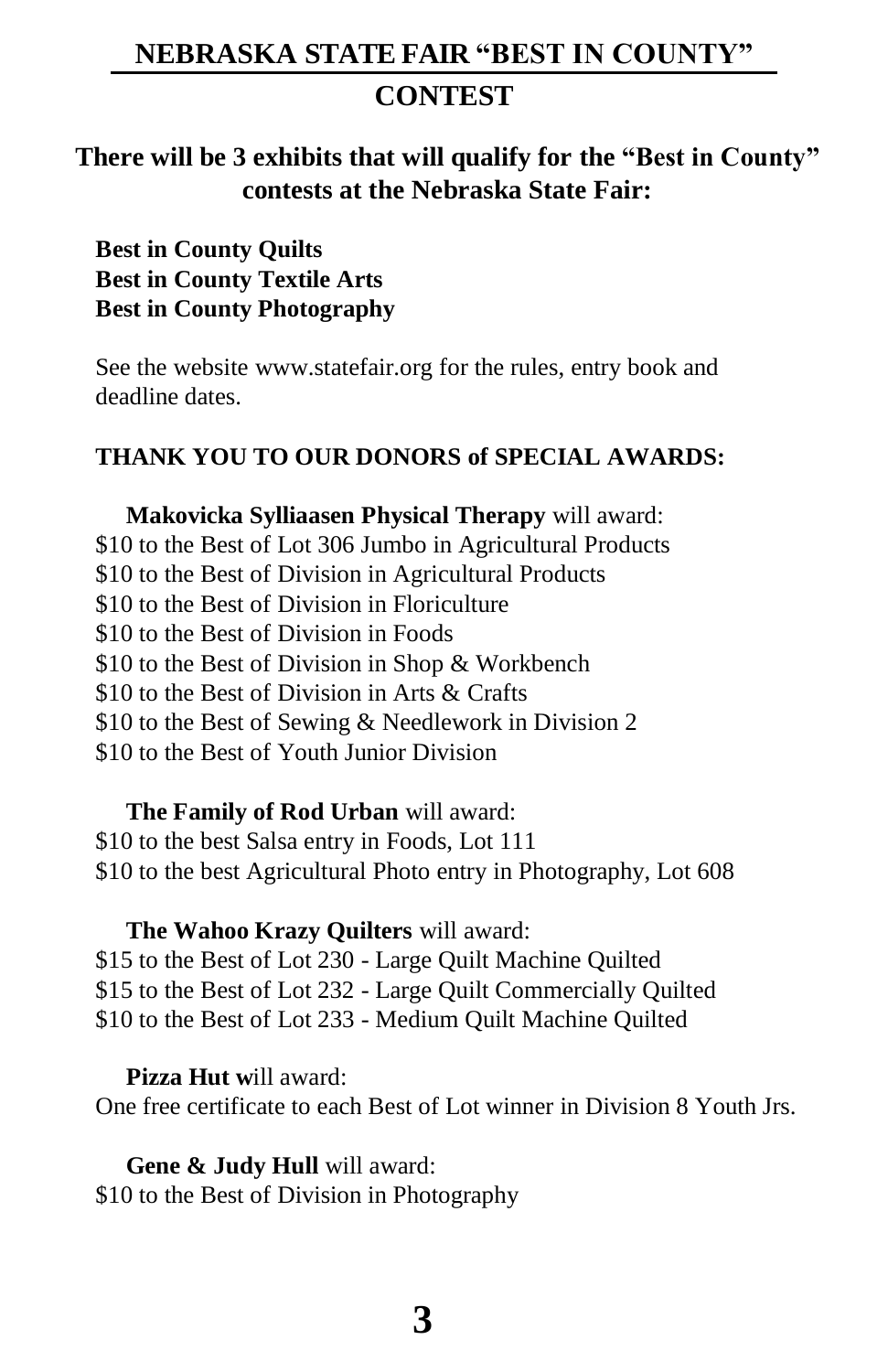## **NEBRASKA STATE FAIR "BEST IN COUNTY"**

## **CONTEST**

## **There will be 3 exhibits that will qualify for the "Best in County" contests at the Nebraska State Fair:**

**Best in County Quilts Best in County Textile Arts Best in County Photography**

See the website [www.statefair.org f](http://www.statefair.org/)or the rules, entry book and deadline dates.

#### **THANK YOU TO OUR DONORS of SPECIAL AWARDS:**

**Makovicka Sylliaasen Physical Therapy** will award: \$10 to the Best of Lot 306 Jumbo in Agricultural Products \$10 to the Best of Division in Agricultural Products \$10 to the Best of Division in Floriculture \$10 to the Best of Division in Foods \$10 to the Best of Division in Shop & Workbench \$10 to the Best of Division in Arts & Crafts \$10 to the Best of Sewing & Needlework in Division 2 \$10 to the Best of Youth Junior Division

**The Family of Rod Urban** will award: \$10 to the best Salsa entry in Foods, Lot 111 \$10 to the best Agricultural Photo entry in Photography, Lot 608

#### **The Wahoo Krazy Quilters** will award:

\$15 to the Best of Lot 230 - Large Quilt Machine Quilted \$15 to the Best of Lot 232 - Large Quilt Commercially Quilted \$10 to the Best of Lot 233 - Medium Quilt Machine Quilted

**Pizza Hut w**ill award:

One free certificate to each Best of Lot winner in Division 8 Youth Jrs.

**Gene & Judy Hull** will award: \$10 to the Best of Division in Photography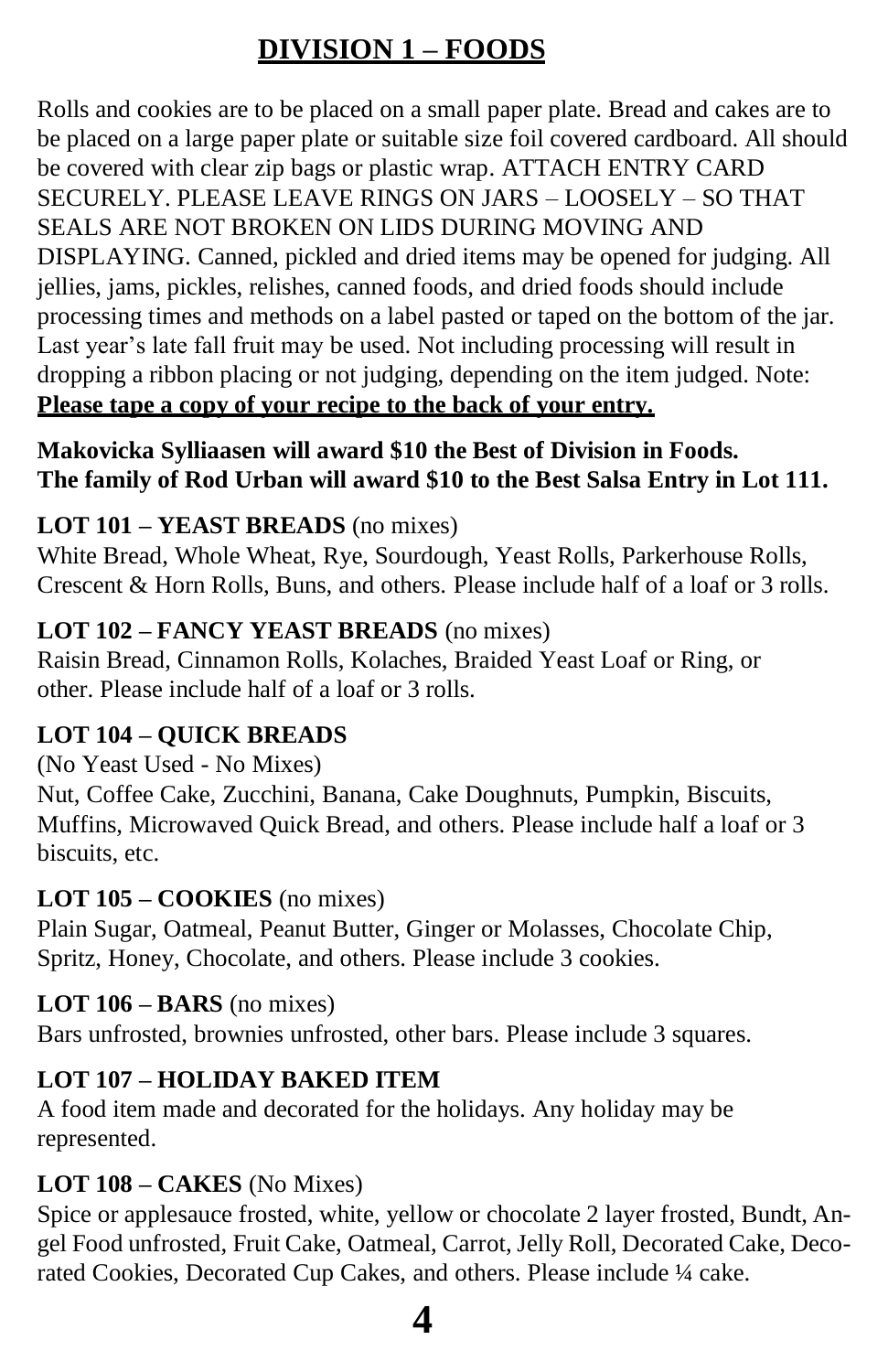# **DIVISION 1 – FOODS**

Rolls and cookies are to be placed on a small paper plate. Bread and cakes are to be placed on a large paper plate or suitable size foil covered cardboard. All should be covered with clear zip bags or plastic wrap. ATTACH ENTRY CARD SECURELY. PLEASE LEAVE RINGS ON JARS – LOOSELY – SO THAT SEALS ARE NOT BROKEN ON LIDS DURING MOVING AND DISPLAYING. Canned, pickled and dried items may be opened for judging. All jellies, jams, pickles, relishes, canned foods, and dried foods should include processing times and methods on a label pasted or taped on the bottom of the jar. Last year's late fall fruit may be used. Not including processing will result in dropping a ribbon placing or not judging, depending on the item judged. Note: **Please tape a copy of your recipe to the back of your entry.**

**Makovicka Sylliaasen will award \$10 the Best of Division in Foods. The family of Rod Urban will award \$10 to the Best Salsa Entry in Lot 111.**

## **LOT 101 – YEAST BREADS** (no mixes)

White Bread, Whole Wheat, Rye, Sourdough, Yeast Rolls, Parkerhouse Rolls, Crescent & Horn Rolls, Buns, and others. Please include half of a loaf or 3 rolls.

## **LOT 102 – FANCY YEAST BREADS** (no mixes)

Raisin Bread, Cinnamon Rolls, Kolaches, Braided Yeast Loaf or Ring, or other. Please include half of a loaf or 3 rolls.

## **LOT 104 – QUICK BREADS**

(No Yeast Used - No Mixes)

Nut, Coffee Cake, Zucchini, Banana, Cake Doughnuts, Pumpkin, Biscuits, Muffins, Microwaved Quick Bread, and others. Please include half a loaf or 3 biscuits, etc.

#### **LOT 105 – COOKIES** (no mixes)

Plain Sugar, Oatmeal, Peanut Butter, Ginger or Molasses, Chocolate Chip, Spritz, Honey, Chocolate, and others. Please include 3 cookies.

## **LOT 106 – BARS** (no mixes)

Bars unfrosted, brownies unfrosted, other bars. Please include 3 squares.

## **LOT 107 – HOLIDAY BAKED ITEM**

A food item made and decorated for the holidays. Any holiday may be represented.

## **LOT 108 – CAKES** (No Mixes)

Spice or applesauce frosted, white, yellow or chocolate 2 layer frosted, Bundt, Angel Food unfrosted, Fruit Cake, Oatmeal, Carrot, Jelly Roll, Decorated Cake, Decorated Cookies, Decorated Cup Cakes, and others. Please include ¼ cake.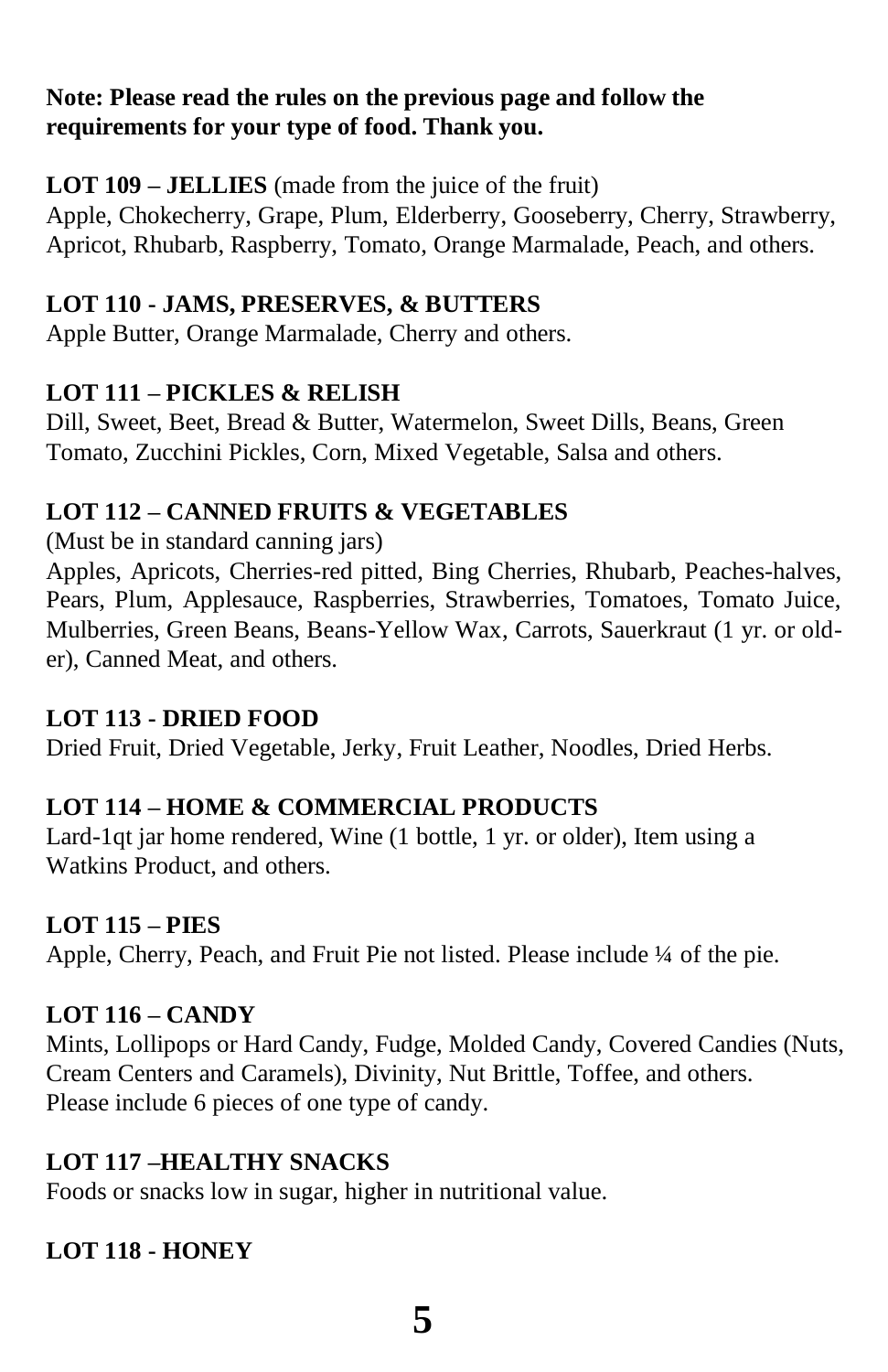#### **Note: Please read the rules on the previous page and follow the requirements for your type of food. Thank you.**

## **LOT 109 – JELLIES** (made from the juice of the fruit)

Apple, Chokecherry, Grape, Plum, Elderberry, Gooseberry, Cherry, Strawberry, Apricot, Rhubarb, Raspberry, Tomato, Orange Marmalade, Peach, and others.

#### **LOT 110 - JAMS, PRESERVES, & BUTTERS**

Apple Butter, Orange Marmalade, Cherry and others.

## **LOT 111 – PICKLES & RELISH**

Dill, Sweet, Beet, Bread & Butter, Watermelon, Sweet Dills, Beans, Green Tomato, Zucchini Pickles, Corn, Mixed Vegetable, Salsa and others.

## **LOT 112 – CANNED FRUITS & VEGETABLES**

(Must be in standard canning jars)

Apples, Apricots, Cherries-red pitted, Bing Cherries, Rhubarb, Peaches-halves, Pears, Plum, Applesauce, Raspberries, Strawberries, Tomatoes, Tomato Juice, Mulberries, Green Beans, Beans-Yellow Wax, Carrots, Sauerkraut (1 yr. or older), Canned Meat, and others.

## **LOT 113 - DRIED FOOD**

Dried Fruit, Dried Vegetable, Jerky, Fruit Leather, Noodles, Dried Herbs.

## **LOT 114 – HOME & COMMERCIAL PRODUCTS**

Lard-1qt jar home rendered, Wine (1 bottle, 1 yr. or older), Item using a Watkins Product, and others.

#### **LOT 115 – PIES**

Apple, Cherry, Peach, and Fruit Pie not listed. Please include ¼ of the pie.

## **LOT 116 – CANDY**

Mints, Lollipops or Hard Candy, Fudge, Molded Candy, Covered Candies (Nuts, Cream Centers and Caramels), Divinity, Nut Brittle, Toffee, and others. Please include 6 pieces of one type of candy.

## **LOT 117 –HEALTHY SNACKS**

Foods or snacks low in sugar, higher in nutritional value.

## **LOT 118 - HONEY**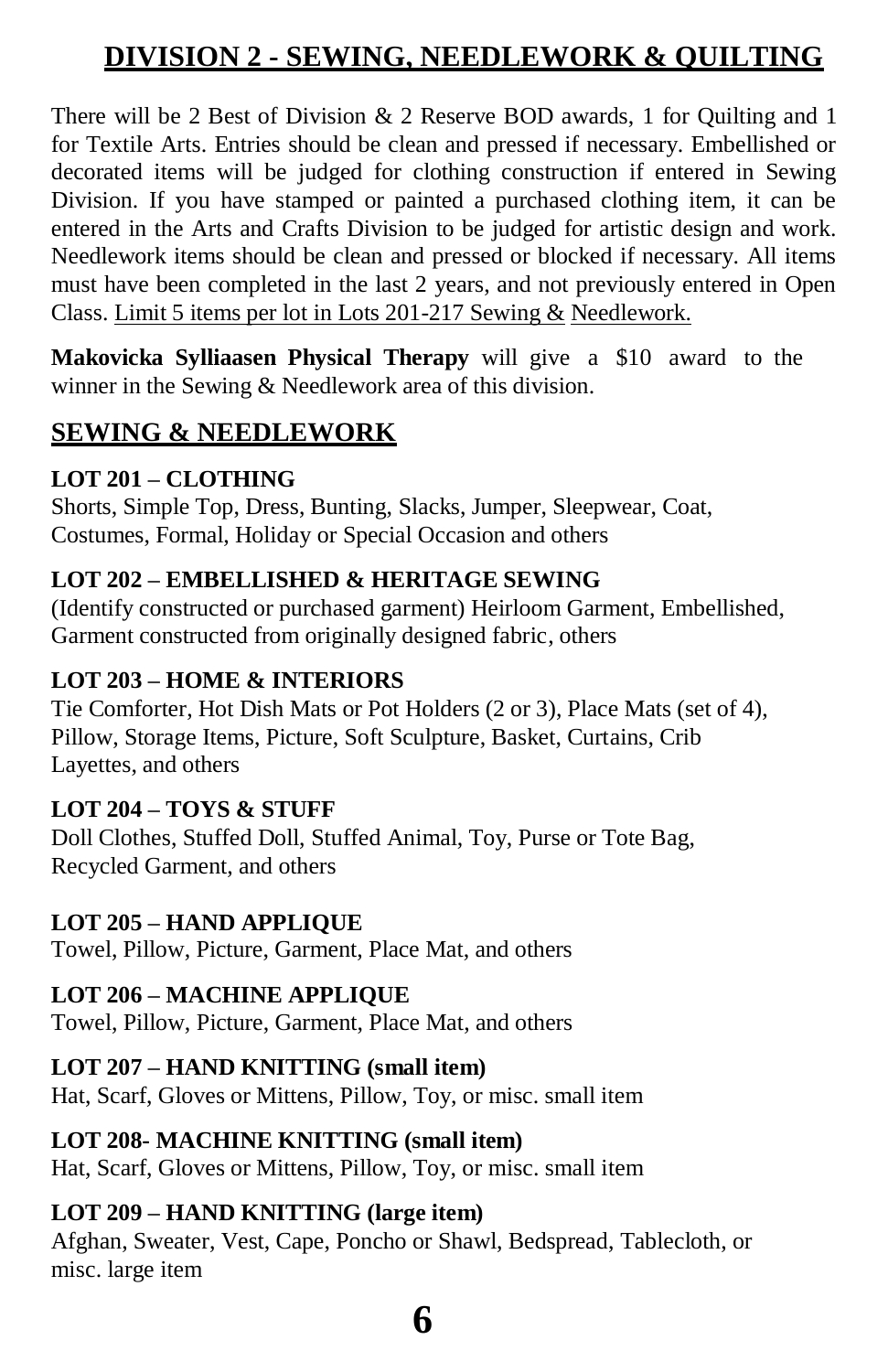# **DIVISION 2 - SEWING, NEEDLEWORK & QUILTING**

There will be 2 Best of Division  $\&$  2 Reserve BOD awards, 1 for Ouilting and 1 for Textile Arts. Entries should be clean and pressed if necessary. Embellished or decorated items will be judged for clothing construction if entered in Sewing Division. If you have stamped or painted a purchased clothing item, it can be entered in the Arts and Crafts Division to be judged for artistic design and work. Needlework items should be clean and pressed or blocked if necessary. All items must have been completed in the last 2 years, and not previously entered in Open Class. Limit 5 items per lot in Lots 201-217 Sewing & Needlework.

**Makovicka Sylliaasen Physical Therapy** will give a \$10 award to the winner in the Sewing & Needlework area of this division.

## **SEWING & NEEDLEWORK**

#### **LOT 201 – CLOTHING**

Shorts, Simple Top, Dress, Bunting, Slacks, Jumper, Sleepwear, Coat, Costumes, Formal, Holiday or Special Occasion and others

#### **LOT 202 – EMBELLISHED & HERITAGE SEWING**

(Identify constructed or purchased garment) Heirloom Garment, Embellished, Garment constructed from originally designed fabric, others

#### **LOT 203 – HOME & INTERIORS**

Tie Comforter, Hot Dish Mats or Pot Holders (2 or 3), Place Mats (set of 4), Pillow, Storage Items, Picture, Soft Sculpture, Basket, Curtains, Crib Layettes, and others

#### **LOT 204 – TOYS & STUFF**

Doll Clothes, Stuffed Doll, Stuffed Animal, Toy, Purse or Tote Bag, Recycled Garment, and others

#### **LOT 205 – HAND APPLIQUE**

Towel, Pillow, Picture, Garment, Place Mat, and others

## **LOT 206 – MACHINE APPLIQUE**

Towel, Pillow, Picture, Garment, Place Mat, and others

## **LOT 207 – HAND KNITTING (small item)**

Hat, Scarf, Gloves or Mittens, Pillow, Toy, or misc. small item

## **LOT 208- MACHINE KNITTING (small item)**

Hat, Scarf, Gloves or Mittens, Pillow, Toy, or misc. small item

## **LOT 209 – HAND KNITTING (large item)**

Afghan, Sweater, Vest, Cape, Poncho or Shawl, Bedspread, Tablecloth, or misc. large item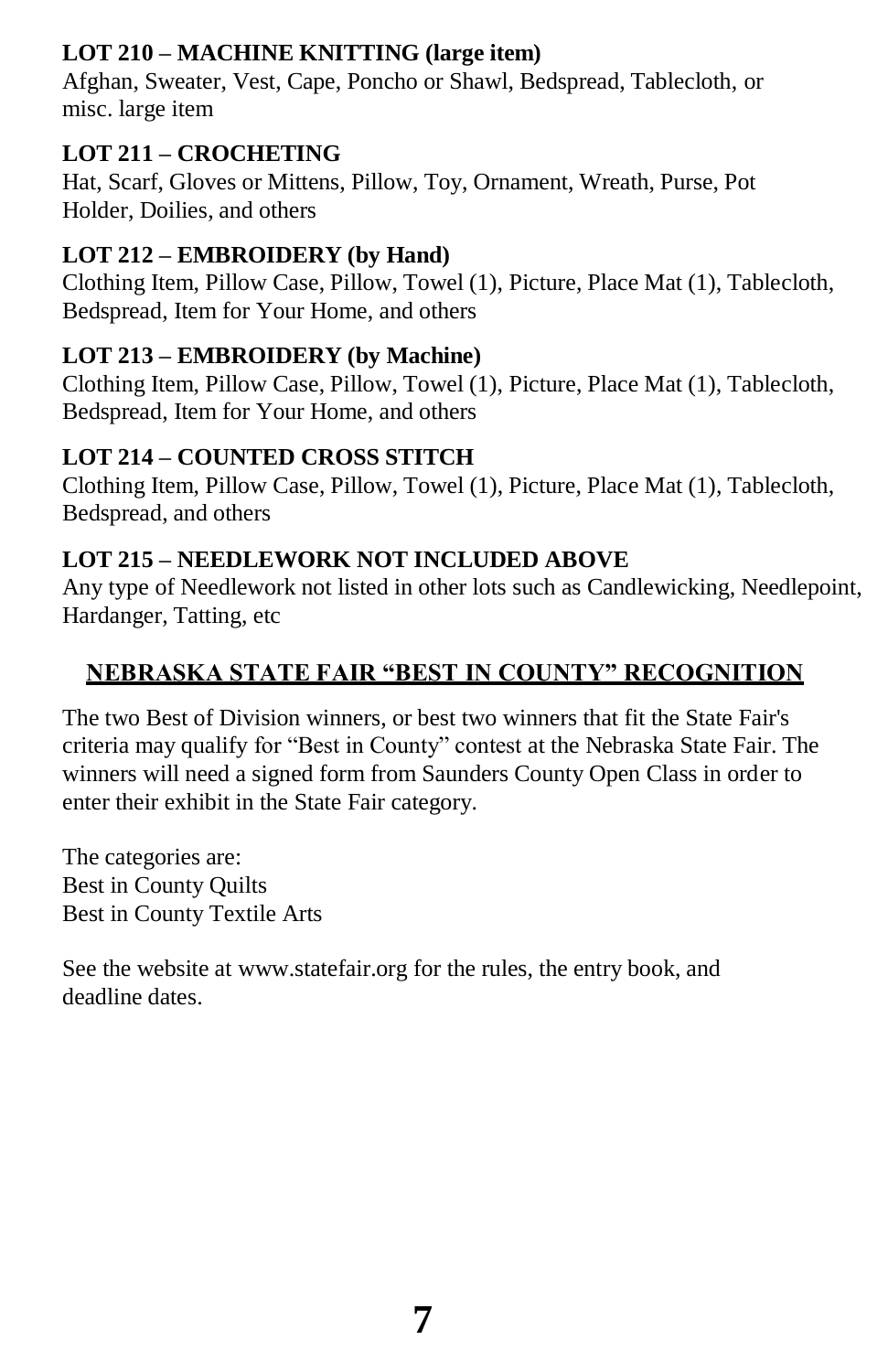## **LOT 210 – MACHINE KNITTING (large item)**

Afghan, Sweater, Vest, Cape, Poncho or Shawl, Bedspread, Tablecloth, or misc. large item

## **LOT 211 – CROCHETING**

Hat, Scarf, Gloves or Mittens, Pillow, Toy, Ornament, Wreath, Purse, Pot Holder, Doilies, and others

## **LOT 212 – EMBROIDERY (by Hand)**

Clothing Item, Pillow Case, Pillow, Towel (1), Picture, Place Mat (1), Tablecloth, Bedspread, Item for Your Home, and others

#### **LOT 213 – EMBROIDERY (by Machine)**

Clothing Item, Pillow Case, Pillow, Towel (1), Picture, Place Mat (1), Tablecloth, Bedspread, Item for Your Home, and others

#### **LOT 214 – COUNTED CROSS STITCH**

Clothing Item, Pillow Case, Pillow, Towel (1), Picture, Place Mat (1), Tablecloth, Bedspread, and others

#### **LOT 215 – NEEDLEWORK NOT INCLUDED ABOVE**

Any type of Needlework not listed in other lots such as Candlewicking, Needlepoint, Hardanger, Tatting, etc

## **NEBRASKA STATE FAIR "BEST IN COUNTY" RECOGNITION**

The two Best of Division winners, or best two winners that fit the State Fair's criteria may qualify for "Best in County" contest at the Nebraska State Fair. The winners will need a signed form from Saunders County Open Class in order to enter their exhibit in the State Fair category.

The categories are: Best in County Quilts Best in County Textile Arts

See the website at [www.statefair.org f](http://www.statefair.org/)or the rules, the entry book, and deadline dates.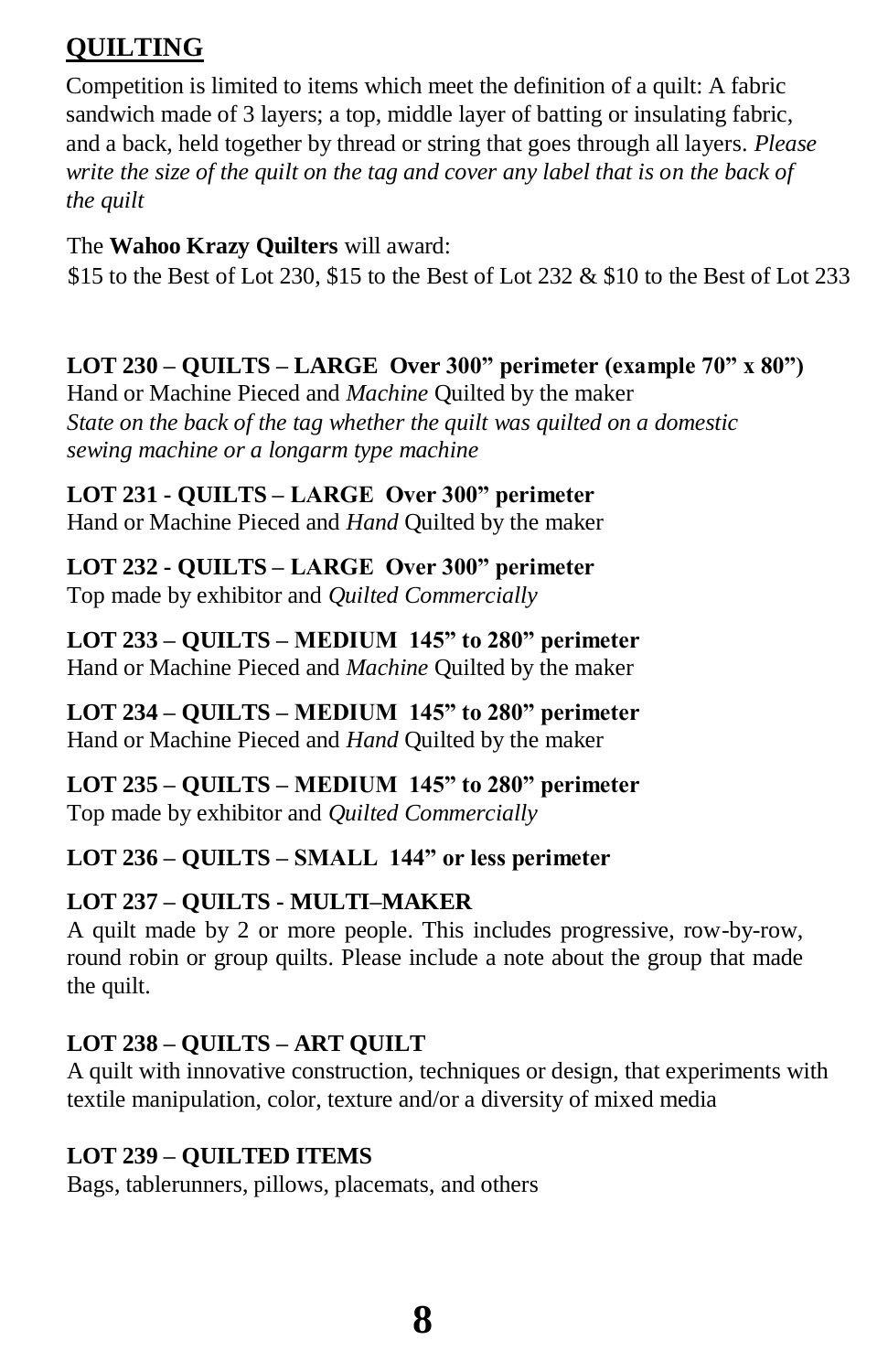## **QUILTING**

Competition is limited to items which meet the definition of a quilt: A fabric sandwich made of 3 layers; a top, middle layer of batting or insulating fabric, and a back, held together by thread or string that goes through all layers. *Please write the size of the quilt on the tag and cover any label that is on the back of the quilt*

## The **Wahoo Krazy Quilters** will award:

\$15 to the Best of Lot 230, \$15 to the Best of Lot 232  $&$  \$10 to the Best of Lot 233

## **LOT 230 – QUILTS – LARGE Over 300" perimeter (example 70" x 80")**

Hand or Machine Pieced and *Machine* Quilted by the maker *State on the back of the tag whether the quilt was quilted on a domestic sewing machine or a longarm type machine*

## **LOT 231 - QUILTS – LARGE Over 300" perimeter**

Hand or Machine Pieced and *Hand* Quilted by the maker

## **LOT 232 - QUILTS – LARGE Over 300" perimeter**

Top made by exhibitor and *Quilted Commercially*

#### **LOT 233 – QUILTS – MEDIUM 145" to 280" perimeter**

Hand or Machine Pieced and *Machine* Quilted by the maker

#### **LOT 234 – QUILTS – MEDIUM 145" to 280" perimeter** Hand or Machine Pieced and *Hand* Quilted by the maker

#### **LOT 235 – QUILTS – MEDIUM 145" to 280" perimeter** Top made by exhibitor and *Quilted Commercially*

## **LOT 236 – QUILTS – SMALL 144" or less perimeter**

## **LOT 237 – QUILTS - MULTI–MAKER**

A quilt made by 2 or more people. This includes progressive, row-by-row, round robin or group quilts. Please include a note about the group that made the quilt.

## **LOT 238 – QUILTS – ART QUILT**

A quilt with innovative construction, techniques or design, that experiments with textile manipulation, color, texture and/or a diversity of mixed media

## **LOT 239 – QUILTED ITEMS**

Bags, tablerunners, pillows, placemats, and others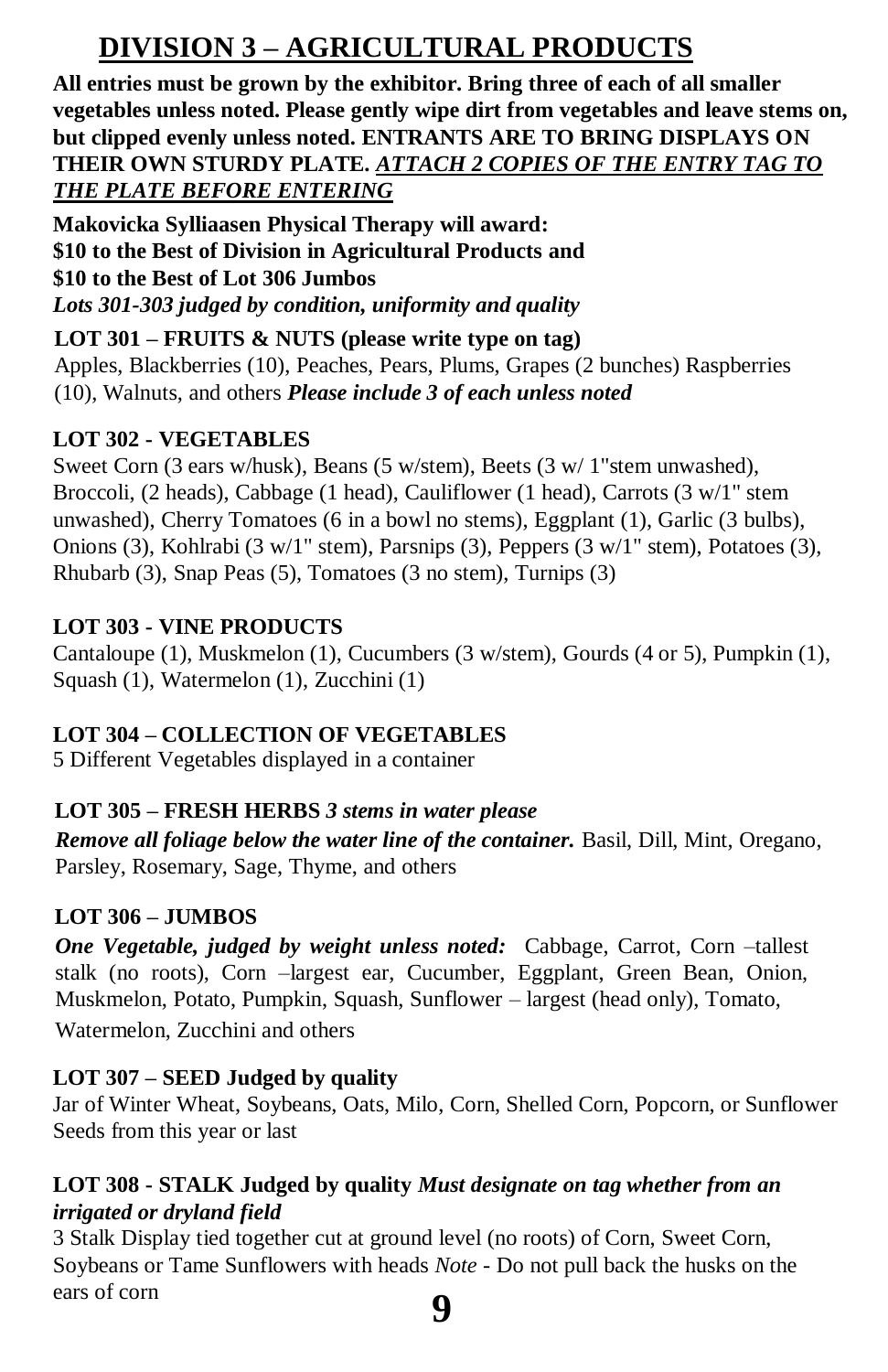# **DIVISION 3 – AGRICULTURAL PRODUCTS**

**All entries must be grown by the exhibitor. Bring three of each of all smaller vegetables unless noted. Please gently wipe dirt from vegetables and leave stems on, but clipped evenly unless noted. ENTRANTS ARE TO BRING DISPLAYS ON THEIR OWN STURDY PLATE.** *ATTACH 2 COPIES OF THE ENTRY TAG TO THE PLATE BEFORE ENTERING*

**Makovicka Sylliaasen Physical Therapy will award: \$10 to the Best of Division in Agricultural Products and \$10 to the Best of Lot 306 Jumbos** *Lots 301-303 judged by condition, uniformity and quality*

**LOT 301 – FRUITS & NUTS (please write type on tag)** Apples, Blackberries (10), Peaches, Pears, Plums, Grapes (2 bunches) Raspberries (10), Walnuts, and others *Please include 3 of each unless noted*

#### **LOT 302 - VEGETABLES**

Sweet Corn (3 ears w/husk), Beans (5 w/stem), Beets (3 w/ 1"stem unwashed), Broccoli, (2 heads), Cabbage (1 head), Cauliflower (1 head), Carrots (3 w/1" stem unwashed), Cherry Tomatoes (6 in a bowl no stems), Eggplant (1), Garlic (3 bulbs), Onions (3), Kohlrabi (3 w/1" stem), Parsnips (3), Peppers (3 w/1" stem), Potatoes (3), Rhubarb (3), Snap Peas (5), Tomatoes (3 no stem), Turnips (3)

#### **LOT 303 - VINE PRODUCTS**

Cantaloupe (1), Muskmelon (1), Cucumbers (3 w/stem), Gourds (4 or 5), Pumpkin (1), Squash (1), Watermelon (1), Zucchini (1)

#### **LOT 304 – COLLECTION OF VEGETABLES**

5 Different Vegetables displayed in a container

#### **LOT 305 – FRESH HERBS** *3 stems in water please*

*Remove all foliage below the water line of the container.* Basil, Dill, Mint, Oregano, Parsley, Rosemary, Sage, Thyme, and others

#### **LOT 306 – JUMBOS**

*One Vegetable, judged by weight unless noted:* Cabbage, Carrot, Corn –tallest stalk (no roots), Corn –largest ear, Cucumber, Eggplant, Green Bean, Onion, Muskmelon, Potato, Pumpkin, Squash, Sunflower – largest (head only), Tomato, Watermelon, Zucchini and others

#### **LOT 307 – SEED Judged by quality**

Jar of Winter Wheat, Soybeans, Oats, Milo, Corn, Shelled Corn, Popcorn, or Sunflower Seeds from this year or last

#### **LOT 308 - STALK Judged by quality** *Must designate on tag whether from an irrigated or dryland field*

**9** 3 Stalk Display tied together cut at ground level (no roots) of Corn, Sweet Corn, Soybeans or Tame Sunflowers with heads *Note -* Do not pull back the husks on the ears of corn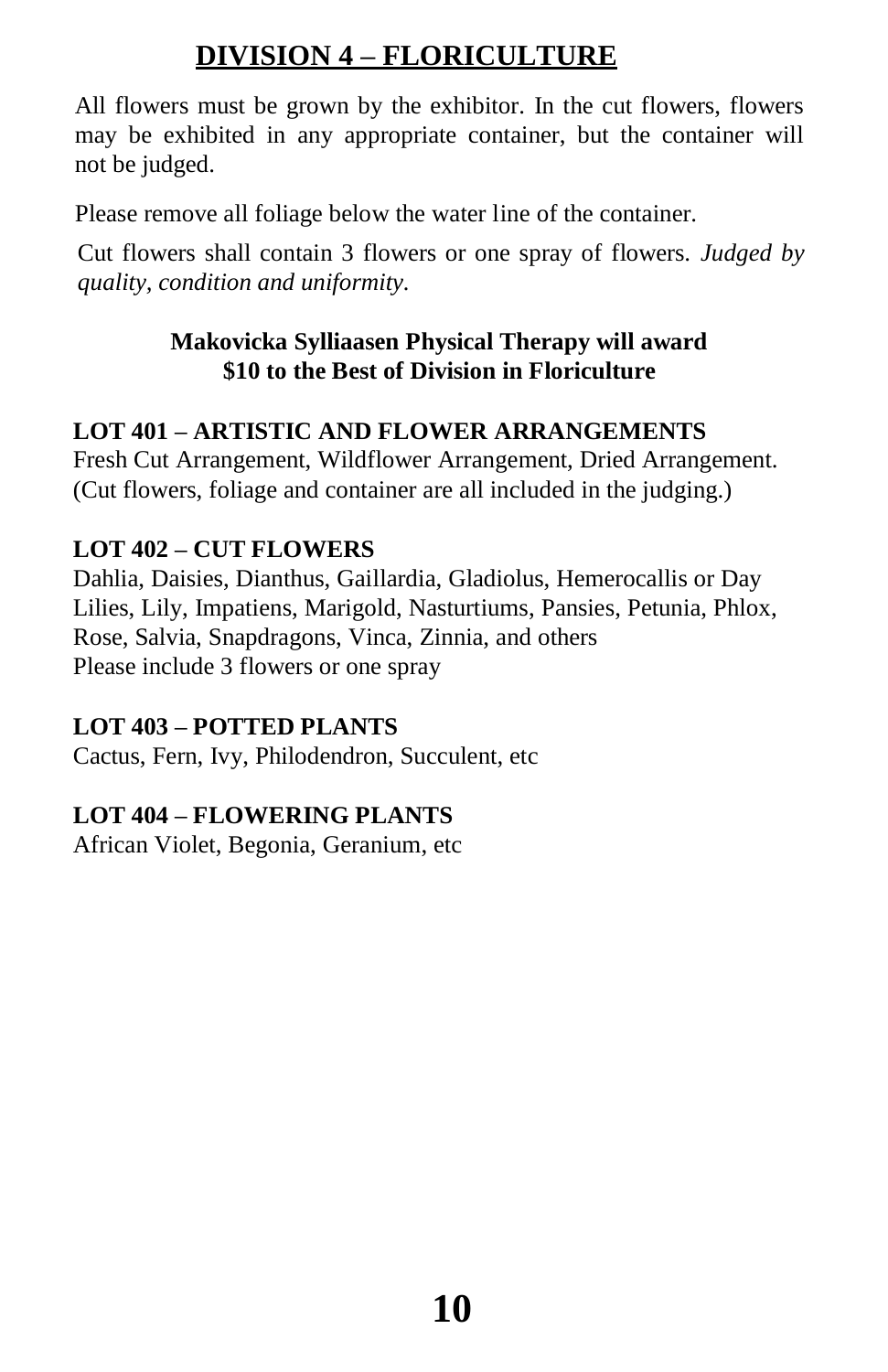# **DIVISION 4 – FLORICULTURE**

All flowers must be grown by the exhibitor. In the cut flowers, flowers may be exhibited in any appropriate container, but the container will not be judged.

Please remove all foliage below the water line of the container.

Cut flowers shall contain 3 flowers or one spray of flowers. *Judged by quality, condition and uniformity.*

## **Makovicka Sylliaasen Physical Therapy will award \$10 to the Best of Division in Floriculture**

## **LOT 401 – ARTISTIC AND FLOWER ARRANGEMENTS**

Fresh Cut Arrangement, Wildflower Arrangement, Dried Arrangement. (Cut flowers, foliage and container are all included in the judging.)

## **LOT 402 – CUT FLOWERS**

Dahlia, Daisies, Dianthus, Gaillardia, Gladiolus, Hemerocallis or Day Lilies, Lily, Impatiens, Marigold, Nasturtiums, Pansies, Petunia, Phlox, Rose, Salvia, Snapdragons, Vinca, Zinnia, and others Please include 3 flowers or one spray

## **LOT 403 – POTTED PLANTS**

Cactus, Fern, Ivy, Philodendron, Succulent, etc

## **LOT 404 – FLOWERING PLANTS**

African Violet, Begonia, Geranium, etc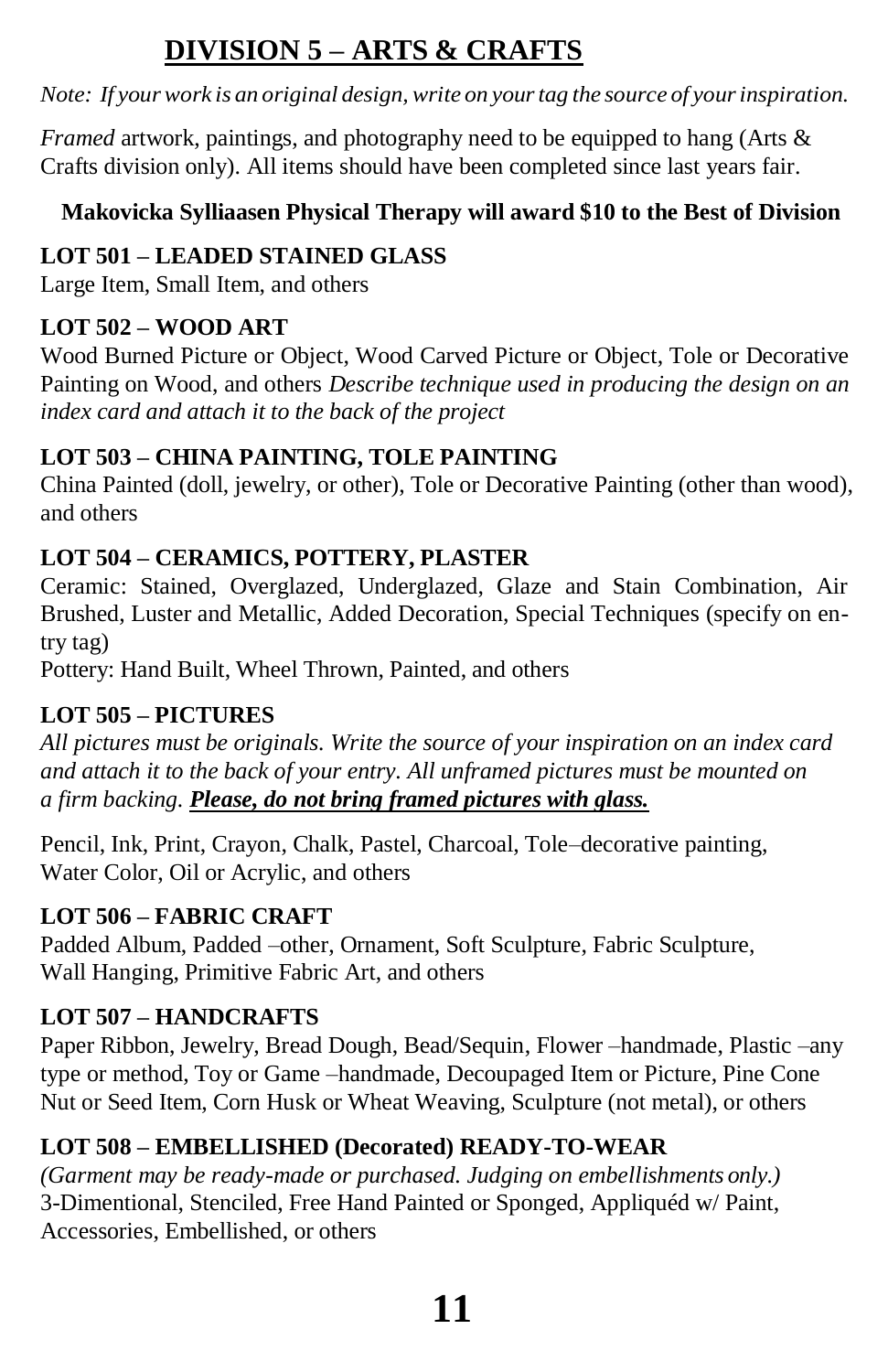# **DIVISION 5 – ARTS & CRAFTS**

*Note: If yourwork is an original design, write on yourtag the source of yourinspiration.*

*Framed* artwork, paintings, and photography need to be equipped to hang (Arts & Crafts division only). All items should have been completed since last years fair.

## **Makovicka Sylliaasen Physical Therapy will award \$10 to the Best of Division**

## **LOT 501 – LEADED STAINED GLASS**

Large Item, Small Item, and others

## **LOT 502 – WOOD ART**

Wood Burned Picture or Object, Wood Carved Picture or Object, Tole or Decorative Painting on Wood, and others *Describe technique used in producing the design on an index card and attach it to the back of the project*

## **LOT 503 – CHINA PAINTING, TOLE PAINTING**

China Painted (doll, jewelry, or other), Tole or Decorative Painting (other than wood), and others

## **LOT 504 – CERAMICS, POTTERY, PLASTER**

Ceramic: Stained, Overglazed, Underglazed, Glaze and Stain Combination, Air Brushed, Luster and Metallic, Added Decoration, Special Techniques (specify on entry tag)

Pottery: Hand Built, Wheel Thrown, Painted, and others

## **LOT 505 – PICTURES**

*All pictures must be originals. Write the source of your inspiration on an index card and attach it to the back of your entry. All unframed pictures must be mounted on a firm backing. Please, do not bring framed pictures with glass.*

Pencil, Ink, Print, Crayon, Chalk, Pastel, Charcoal, Tole–decorative painting, Water Color, Oil or Acrylic, and others

## **LOT 506 – FABRIC CRAFT**

Padded Album, Padded –other, Ornament, Soft Sculpture, Fabric Sculpture, Wall Hanging, Primitive Fabric Art, and others

## **LOT 507 – HANDCRAFTS**

Paper Ribbon, Jewelry, Bread Dough, Bead/Sequin, Flower –handmade, Plastic –any type or method, Toy or Game –handmade, Decoupaged Item or Picture, Pine Cone Nut or Seed Item, Corn Husk or Wheat Weaving, Sculpture (not metal), or others

## **LOT 508 – EMBELLISHED (Decorated) READY-TO-WEAR**

*(Garment may be ready-made or purchased. Judging on embellishments only.)*  3-Dimentional, Stenciled, Free Hand Painted or Sponged, Appliquéd w/ Paint, Accessories, Embellished, or others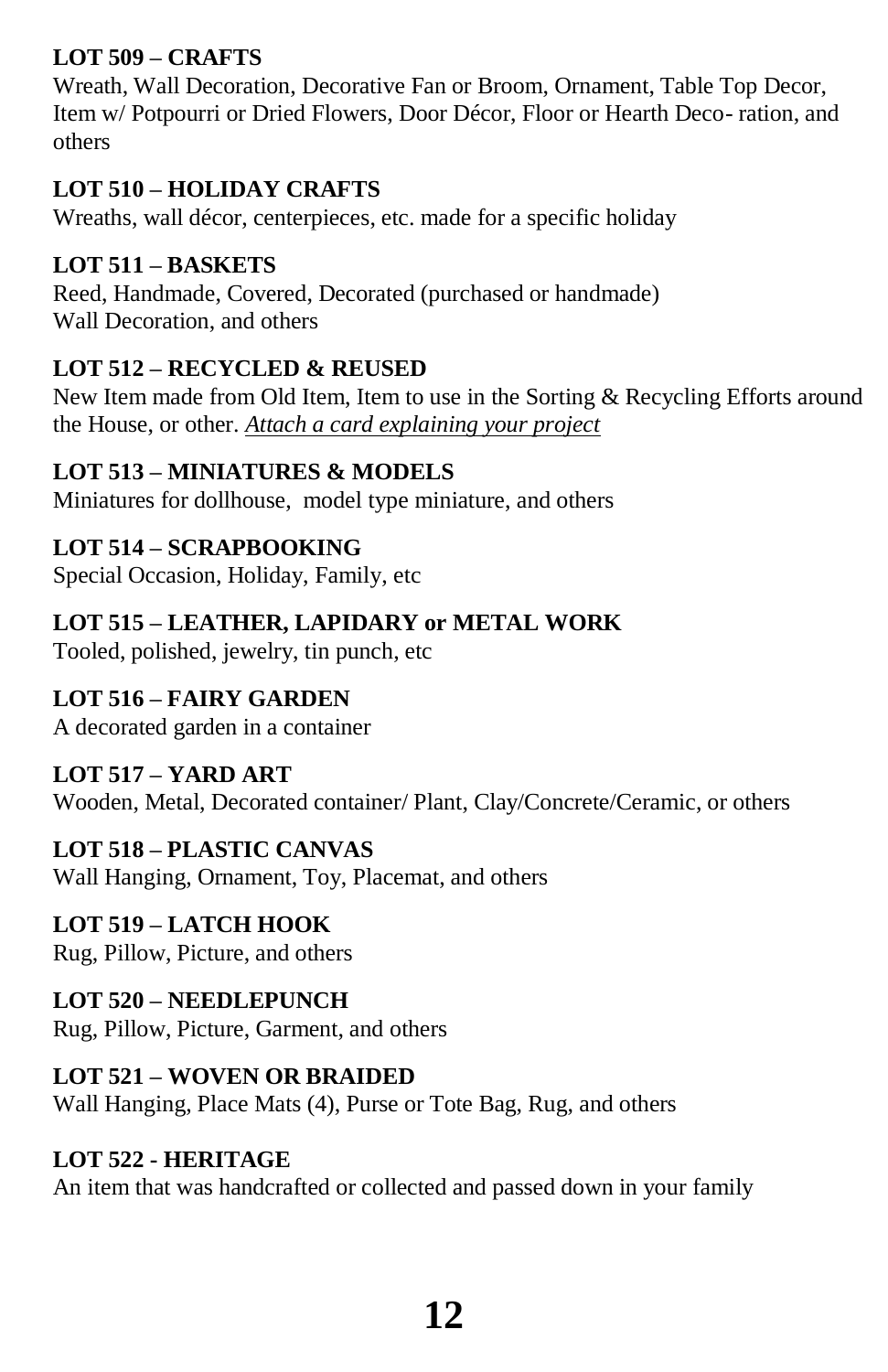## **LOT 509 – CRAFTS**

Wreath, Wall Decoration, Decorative Fan or Broom, Ornament, Table Top Decor, Item w/ Potpourri or Dried Flowers, Door Décor, Floor or Hearth Deco- ration, and others

#### **LOT 510 – HOLIDAY CRAFTS**

Wreaths, wall décor, centerpieces, etc. made for a specific holiday

#### **LOT 511 – BASKETS**

Reed, Handmade, Covered, Decorated (purchased or handmade) Wall Decoration, and others

## **LOT 512 – RECYCLED & REUSED**

New Item made from Old Item, Item to use in the Sorting & Recycling Efforts around the House, or other. *Attach a card explaining your project*

#### **LOT 513 – MINIATURES & MODELS**

Miniatures for dollhouse, model type miniature, and others

## **LOT 514 – SCRAPBOOKING**

Special Occasion, Holiday, Family, etc

## **LOT 515 – LEATHER, LAPIDARY or METAL WORK**

Tooled, polished, jewelry, tin punch, etc

## **LOT 516 – FAIRY GARDEN**

A decorated garden in a container

## **LOT 517 – YARD ART**

Wooden, Metal, Decorated container/ Plant, Clay/Concrete/Ceramic, or others

## **LOT 518 – PLASTIC CANVAS**

Wall Hanging, Ornament, Toy, Placemat, and others

## **LOT 519 – LATCH HOOK**

Rug, Pillow, Picture, and others

## **LOT 520 – NEEDLEPUNCH**

Rug, Pillow, Picture, Garment, and others

## **LOT 521 – WOVEN OR BRAIDED**

Wall Hanging, Place Mats (4), Purse or Tote Bag, Rug, and others

#### **LOT 522 - HERITAGE**

An item that was handcrafted or collected and passed down in your family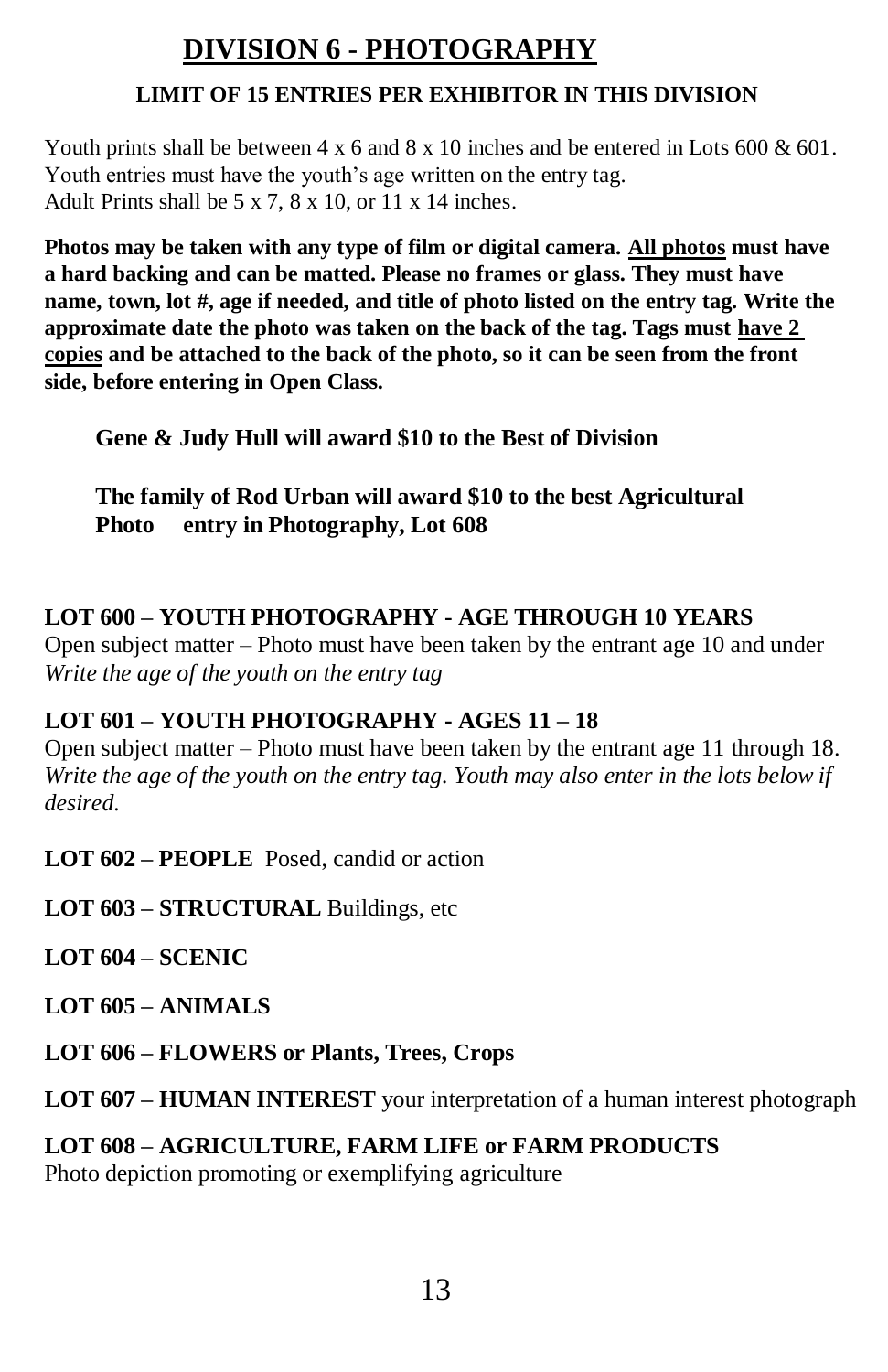# **DIVISION 6 - PHOTOGRAPHY**

#### **LIMIT OF 15 ENTRIES PER EXHIBITOR IN THIS DIVISION**

Youth prints shall be between  $4 \times 6$  and  $8 \times 10$  inches and be entered in Lots 600 & 601. Youth entries must have the youth's age written on the entry tag. Adult Prints shall be  $5 \times 7$ ,  $8 \times 10$ , or  $11 \times 14$  inches.

**Photos may be taken with any type of film or digital camera. All photos must have a hard backing and can be matted. Please no frames or glass. They must have name, town, lot #, age if needed, and title of photo listed on the entry tag. Write the approximate date the photo was taken on the back of the tag. Tags must have 2 copies and be attached to the back of the photo, so it can be seen from the front side, before entering in Open Class.**

**Gene & Judy Hull will award \$10 to the Best of Division** 

**The family of Rod Urban will award \$10 to the best Agricultural Photo entry in Photography, Lot 608**

## **LOT 600 – YOUTH PHOTOGRAPHY - AGE THROUGH 10 YEARS**

Open subject matter – Photo must have been taken by the entrant age 10 and under *Write the age of the youth on the entry tag*

## **LOT 601 – YOUTH PHOTOGRAPHY - AGES 11 – 18**

Open subject matter – Photo must have been taken by the entrant age 11 through 18. *Write the age of the youth on the entry tag. Youth may also enter in the lots below if desired.*

**LOT 602 – PEOPLE** Posed, candid or action

**LOT 603 – STRUCTURAL** Buildings, etc

**LOT 604 – SCENIC**

**LOT 605 – ANIMALS**

**LOT 606 – FLOWERS or Plants, Trees, Crops**

**LOT 607 – HUMAN INTEREST** your interpretation of a human interest photograph

## **LOT 608 – AGRICULTURE, FARM LIFE or FARM PRODUCTS**

Photo depiction promoting or exemplifying agriculture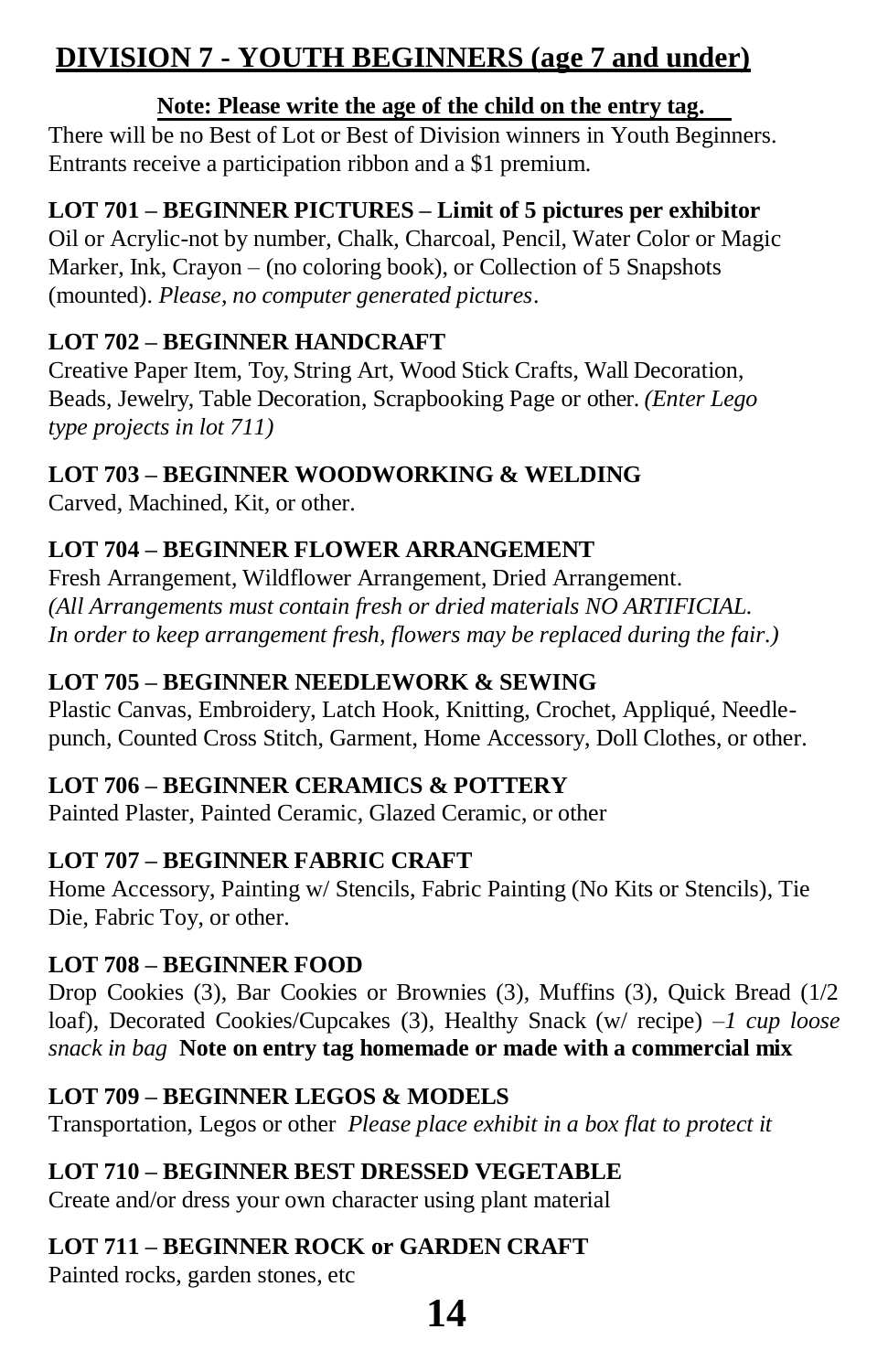# **DIVISION 7 - YOUTH BEGINNERS (age 7 and under)**

#### **Note: Please write the age of the child on the entry tag.**

There will be no Best of Lot or Best of Division winners in Youth Beginners. Entrants receive a participation ribbon and a \$1 premium.

#### **LOT 701 – BEGINNER PICTURES – Limit of 5 pictures per exhibitor**

Oil or Acrylic-not by number, Chalk, Charcoal, Pencil, Water Color or Magic Marker, Ink, Crayon – (no coloring book), or Collection of 5 Snapshots (mounted). *Please, no computer generated pictures*.

#### **LOT 702 – BEGINNER HANDCRAFT**

Creative Paper Item, Toy, String Art, Wood Stick Crafts, Wall Decoration, Beads, Jewelry, Table Decoration, Scrapbooking Page or other. *(Enter Lego type projects in lot 711)*

#### **LOT 703 – BEGINNER WOODWORKING & WELDING**

Carved, Machined, Kit, or other.

## **LOT 704 – BEGINNER FLOWER ARRANGEMENT**

Fresh Arrangement, Wildflower Arrangement, Dried Arrangement. *(All Arrangements must contain fresh or dried materials NO ARTIFICIAL. In order to keep arrangement fresh, flowers may be replaced during the fair.)*

#### **LOT 705 – BEGINNER NEEDLEWORK & SEWING**

Plastic Canvas, Embroidery, Latch Hook, Knitting, Crochet, Appliqué, Needlepunch, Counted Cross Stitch, Garment, Home Accessory, Doll Clothes, or other.

#### **LOT 706 – BEGINNER CERAMICS & POTTERY**

Painted Plaster, Painted Ceramic, Glazed Ceramic, or other

#### **LOT 707 – BEGINNER FABRIC CRAFT**

Home Accessory, Painting w/ Stencils, Fabric Painting (No Kits or Stencils), Tie Die, Fabric Toy, or other.

#### **LOT 708 – BEGINNER FOOD**

Drop Cookies (3), Bar Cookies or Brownies (3), Muffins (3), Quick Bread (1/2 loaf), Decorated Cookies/Cupcakes (3), Healthy Snack (w/ recipe) –*1 cup loose snack in bag* **Note on entry tag homemade or made with a commercial mix**

#### **LOT 709 – BEGINNER LEGOS & MODELS**

Transportation, Legos or other *Please place exhibit in a box flat to protect it*

## **LOT 710 – BEGINNER BEST DRESSED VEGETABLE**

Create and/or dress your own character using plant material

## **LOT 711 – BEGINNER ROCK or GARDEN CRAFT**

Painted rocks, garden stones, etc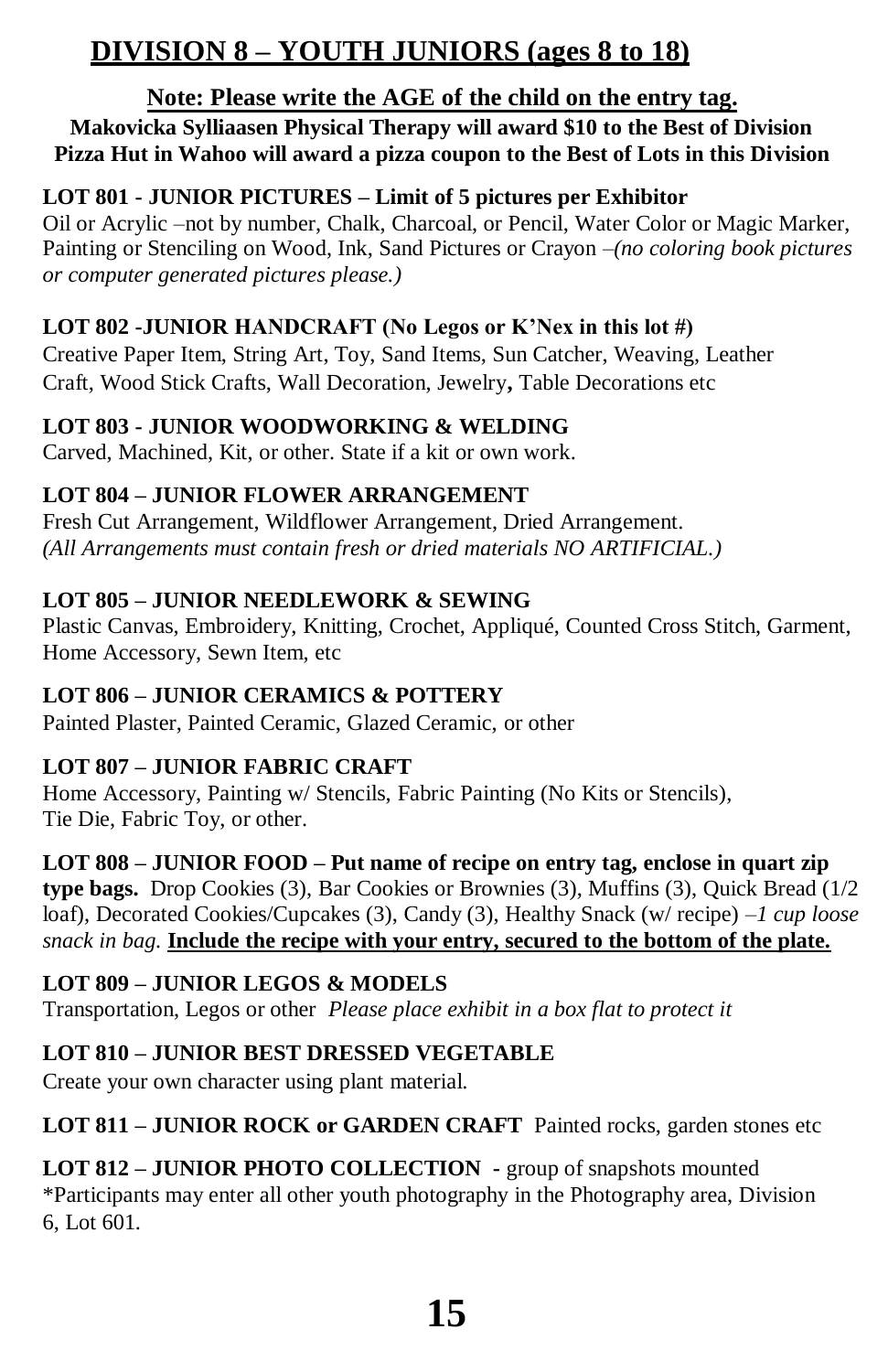# **DIVISION 8 – YOUTH JUNIORS (ages 8 to 18)**

#### **Note: Please write the AGE of the child on the entry tag.**

#### **Makovicka Sylliaasen Physical Therapy will award \$10 to the Best of Division Pizza Hut in Wahoo will award a pizza coupon to the Best of Lots in this Division**

#### **LOT 801 - JUNIOR PICTURES – Limit of 5 pictures per Exhibitor**

Oil or Acrylic –not by number, Chalk, Charcoal, or Pencil, Water Color or Magic Marker, Painting or Stenciling on Wood, Ink, Sand Pictures or Crayon *–(no coloring book pictures or computer generated pictures please.)*

#### **LOT 802 -JUNIOR HANDCRAFT (No Legos or K'Nex in this lot #)**

Creative Paper Item, String Art, Toy, Sand Items, Sun Catcher, Weaving, Leather Craft, Wood Stick Crafts, Wall Decoration, Jewelry**,** Table Decorations etc

#### **LOT 803 - JUNIOR WOODWORKING & WELDING**

Carved, Machined, Kit, or other. State if a kit or own work.

#### **LOT 804 – JUNIOR FLOWER ARRANGEMENT**

Fresh Cut Arrangement, Wildflower Arrangement, Dried Arrangement. *(All Arrangements must contain fresh or dried materials NO ARTIFICIAL.)*

#### **LOT 805 – JUNIOR NEEDLEWORK & SEWING**

Plastic Canvas, Embroidery, Knitting, Crochet, Appliqué, Counted Cross Stitch, Garment, Home Accessory, Sewn Item, etc

#### **LOT 806 – JUNIOR CERAMICS & POTTERY**

Painted Plaster, Painted Ceramic, Glazed Ceramic, or other

#### **LOT 807 – JUNIOR FABRIC CRAFT**

Home Accessory, Painting w/ Stencils, Fabric Painting (No Kits or Stencils), Tie Die, Fabric Toy, or other.

#### **LOT 808 – JUNIOR FOOD – Put name of recipe on entry tag, enclose in quart zip**

**type bags.** Drop Cookies (3), Bar Cookies or Brownies (3), Muffins (3), Quick Bread (1/2 loaf), Decorated Cookies/Cupcakes (3), Candy (3), Healthy Snack (w/ recipe) –*1 cup loose snack in bag.* **Include the recipe with your entry, secured to the bottom of the plate.**

#### **LOT 809 – JUNIOR LEGOS & MODELS**

Transportation, Legos or other *Please place exhibit in a box flat to protect it*

#### **LOT 810 – JUNIOR BEST DRESSED VEGETABLE**

Create your own character using plant material.

#### **LOT 811 – JUNIOR ROCK or GARDEN CRAFT** Painted rocks, garden stones etc

**LOT 812 – JUNIOR PHOTO COLLECTION -** group of snapshots mounted \*Participants may enter all other youth photography in the Photography area, Division 6, Lot 601.